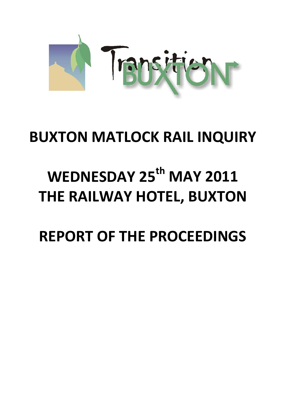

# **BUXTON MATLOCK RAIL INQUIRY**

# **WEDNESDAY 25th MAY 2011 THE RAILWAY HOTEL, BUXTON**

**REPORT OF THE PROCEEDINGS**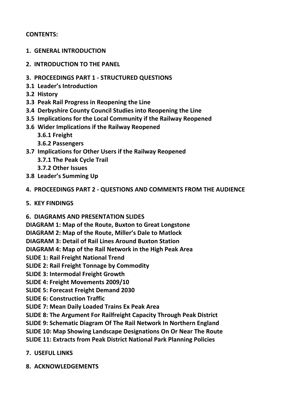# **CONTENTS:**

- **1. GENERAL INTRODUCTION**
- **2. INTRODUCTION TO THE PANEL**
- **3. PROCEEDINGS PART 1 ‐ STRUCTURED QUESTIONS**
- **3.1 Leader's Introduction**
- **3.2 History**
- **3.3 Peak Rail Progress in Reopening the Line**
- **3.4 Derbyshire County Council Studies into Reopening the Line**
- **3.5 Implications for the Local Community if the Railway Reopened**
- **3.6 Wider Implications if the Railway Reopened**
	- **3.6.1 Freight**
	- **3.6.2 Passengers**
- **3.7 Implications for Other Users if the Railway Reopened**
	- **3.7.1 The Peak Cycle Trail**
	- **3.7.2 Other Issues**
- **3.8 Leader's Summing Up**
- **4. PROCEEDINGS PART 2 ‐ QUESTIONS AND COMMENTS FROM THE AUDIENCE**
- **5. KEY FINDINGS**
- **6. DIAGRAMS AND PRESENTATION SLIDES**

**DIAGRAM 1: Map of the Route, Buxton to Great Longstone**

**DIAGRAM 2: Map of the Route, Miller's Dale to Matlock**

**DIAGRAM 3: Detail of Rail Lines Around Buxton Station**

**DIAGRAM 4: Map of the Rail Network in the High Peak Area**

**SLIDE 1: Rail Freight National Trend**

- **SLIDE 2: Rail Freight Tonnage by Commodity**
- **SLIDE 3: Intermodal Freight Growth**
- **SLIDE 4: Freight Movements 2009/10**
- **SLIDE 5: Forecast Freight Demand 2030**
- **SLIDE 6: Construction Traffic**
- **SLIDE 7: Mean Daily Loaded Trains Ex Peak Area**
- **SLIDE 8: The Argument For Railfreight Capacity Through Peak District**
- **SLIDE 9: Schematic Diagram Of The Rail Network In Northern England**

**SLIDE 10: Map Showing Landscape Designations On Or Near The Route**

**SLIDE 11: Extracts from Peak District National Park Planning Policies**

# **7. USEFUL LINKS**

**8. ACKNOWLEDGEMENTS**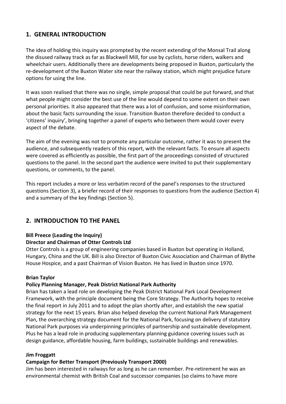# **1. GENERAL INTRODUCTION**

The idea of holding this inquiry was prompted by the recent extending of the Monsal Trail along the disused railway track as far as Blackwell Mill, for use by cyclists, horse riders, walkers and wheelchair users. Additionally there are developments being proposed in Buxton, particularly the re‐development of the Buxton Water site near the railway station, which might prejudice future options for using the line.

It was soon realised that there was no single, simple proposal that could be put forward, and that what people might consider the best use of the line would depend to some extent on their own personal priorities. It also appeared that there was a lot of confusion, and some misinformation, about the basic facts surrounding the issue. Transition Buxton therefore decided to conduct a 'citizens' inquiry', bringing together a panel of experts who between them would cover every aspect of the debate.

The aim of the evening was not to promote any particular outcome, rather it was to present the audience, and subsequently readers of this report, with the relevant facts. To ensure all aspects were covered as efficiently as possible, the first part of the proceedings consisted of structured questions to the panel. In the second part the audience were invited to put their supplementary questions, or comments, to the panel.

This report includes a more or less verbatim record of the panel's responses to the structured questions (Section 3), a briefer record of their responses to questions from the audience (Section 4) and a summary of the key findings (Section 5).

# **2. INTRODUCTION TO THE PANEL**

#### **Bill Preece (Leading the Inquiry)**

#### **Director and Chairman of Otter Controls Ltd**

Otter Controls is a group of engineering companies based in Buxton but operating in Holland, Hungary, China and the UK. Bill is also Director of Buxton Civic Association and Chairman of Blythe House Hospice, and a past Chairman of Vision Buxton. He has lived in Buxton since 1970.

#### **Brian Taylor**

#### **Policy Planning Manager, Peak District National Park Authority**

Brian has taken a lead role on developing the Peak District National Park Local Development Framework, with the principle document being the Core Strategy. The Authority hopes to receive the final report in July 2011 and to adopt the plan shortly after, and establish the new spatial strategy for the next 15 years. Brian also helped develop the current National Park Management Plan, the overarching strategy document for the National Park, focusing on delivery of statutory National Park purposes via underpinning principles of partnership and sustainable development. Plus he has a lead role in producing supplementary planning guidance covering issues such as design guidance, affordable housing, farm buildings, sustainable buildings and renewables.

#### **Jim Froggatt**

#### **Campaign for Better Transport (Previously Transport 2000)**

Jim has been interested in railways for as long as he can remember. Pre‐retirement he was an environmental chemist with British Coal and successor companies (so claims to have more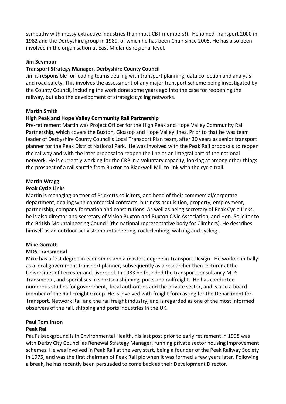sympathy with messy extractive industries than most CBT members!). He joined Transport 2000 in 1982 and the Derbyshire group in 1989, of which he has been Chair since 2005. He has also been involved in the organisation at East Midlands regional level.

#### **Jim Seymour**

#### **Transport Strategy Manager, Derbyshire County Council**

Jim is responsible for leading teams dealing with transport planning, data collection and analysis and road safety. This involves the assessment of any major transport scheme being investigated by the County Council, including the work done some years ago into the case for reopening the railway, but also the development of strategic cycling networks.

#### **Martin Smith**

#### **High Peak and Hope Valley Community Rail Partnership**

Pre‐retirement Martin was Project Officer for the High Peak and Hope Valley Community Rail Partnership, which covers the Buxton, Glossop and Hope Valley lines. Prior to that he was team leader of Derbyshire County Council's Local Transport Plan team, after 30 years as senior transport planner for the Peak District National Park. He was involved with the Peak Rail proposals to reopen the railway and with the later proposal to reopen the line as an integral part of the national network. He is currently working for the CRP in a voluntary capacity, looking at among other things the prospect of a rail shuttle from Buxton to Blackwell Mill to link with the cycle trail.

#### **Martin Wragg**

#### **Peak Cycle Links**

Martin is managing partner of Pricketts solicitors, and head of their commercial/corporate department, dealing with commercial contracts, business acquisition, property, employment, partnership, company formation and constitutions. As well as being secretary of Peak Cycle Links, he is also director and secretary of Vision Buxton and Buxton Civic Association, and Hon. Solicitor to the British Mountaineering Council (the national representative body for Climbers). He describes himself as an outdoor activist: mountaineering, rock climbing, walking and cycling.

#### **Mike Garratt**

#### **MDS Transmodal**

Mike has a first degree in economics and a masters degree in Transport Design. He worked initially as a local government transport planner, subsequently as a researcher then lecturer at the Universities of Leicester and Liverpool. In 1983 he founded the transport consultancy MDS Transmodal, and specialises in shortsea shipping, ports and railfreight. He has conducted numerous studies for government, local authorities and the private sector, and is also a board member of the Rail Freight Group. He is involved with freight forecasting for the Department for Transport, Network Rail and the rail freight industry, and is regarded as one of the most informed observers of the rail, shipping and ports industries in the UK.

#### **Paul Tomlinson**

#### **Peak Rail**

Paul's background is in Environmental Health, his last post prior to early retirement in 1998 was with Derby City Council as Renewal Strategy Manager, running private sector housing improvement schemes. He was involved in Peak Rail at the very start, being a founder of the Peak Railway Society in 1975, and was the first chairman of Peak Rail plc when it was formed a few years later. Following a break, he has recently been persuaded to come back as their Development Director.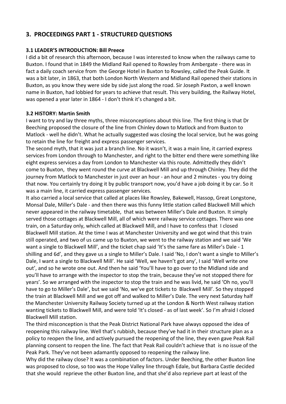# **3. PROCEEDINGS PART 1 ‐ STRUCTURED QUESTIONS**

#### **3.1 LEADER'S INTRODUCTION: Bill Preece**

I did a bit of research this afternoon, because I was interested to know when the railways came to Buxton. I found that in 1849 the Midland Rail opened to Rowsley from Ambergate ‐ there was in fact a daily coach service from the George Hotel in Buxton to Rowsley, called the Peak Guide. It was a bit later, in 1863, that both London North Western and Midland Rail opened their stations in Buxton, as you know they were side by side just along the road. Sir Joseph Paxton, a well known name in Buxton, had lobbied for years to achieve that result. This very building, the Railway Hotel, was opened a year later in 1864 - I don't think it's changed a bit.

#### **3.2 HISTORY: Martin Smith**

I want to try and lay three myths, three misconceptions about this line. The first thing is that Dr Beeching proposed the closure of the line from Chinley down to Matlock and from Buxton to Matlock - well he didn't. What he actually suggested was closing the local service, but he was going to retain the line for freight and express passenger services.

The second myth, that it was just a branch line. No it wasn't, it was a main line, it carried express services from London through to Manchester, and right to the bitter end there were something like eight express services a day from London to Manchester via this route. Admittedly they didn't come to Buxton, they went round the curve at Blackwell Mill and up through Chinley. They did the journey from Matlock to Manchester in just over an hour ‐ an hour and 2 minutes ‐ you try doing that now. You certainly try doing it by public transport now, you'd have a job doing it by car. So it was a main line, it carried express passenger services.

It also carried a local service that called at places like Rowsley, Bakewell, Hassop, Great Longstone, Monsal Dale, Miller's Dale ‐ and then there was this funny little station called Blackwell Mill which never appeared in the railway timetable, that was between Miller's Dale and Buxton. It simply served those cottages at Blackwell Mill, all of which were railway service cottages. There was one train, on a Saturday only, which called at Blackwell Mill, and I have to confess that I closed Blackwell Mill station. At the time I was at Manchester University and we got wind that this train still operated, and two of us came up to Buxton, we went to the railway station and we said 'We want a single to Blackwell Mill', and the ticket chap said 'It's the same fare as Miller's Dale - 1 shilling and 6d', and they gave us a single to Miller's Dale. I said 'No, I don't want a single to Miller's Dale, I want a single to Blackwell Mill'. He said 'Well, we haven't got any', I said 'Well write one out', and so he wrote one out. And then he said 'You'll have to go over to the Midland side and you'll have to arrange with the inspector to stop the train, because they've not stopped there for years'. So we arranged with the inspector to stop the train and he was livid, he said 'Oh no, you'll have to go to Miller's Dale', but we said 'No, we've got tickets to Blackwell Mill'. So they stopped the train at Blackwell Mill and we got off and walked to Miller's Dale. The very next Saturday half the Manchester University Railway Society turned up at the London & North West railway station wanting tickets to Blackwell Mill, and were told 'It's closed ‐ as of last week'. So I'm afraid I closed Blackwell Mill station.

The third misconception is that the Peak District National Park have always opposed the idea of reopening this railway line. Well that's rubbish, because they've had it in their structure plan as a policy to reopen the line, and actively pursued the reopening of the line, they even gave Peak Rail planning consent to reopen the line. The fact that Peak Rail couldn't achieve that is no issue of the Peak Park. They've not been adamantly opposed to reopening the railway line.

Why did the railway close? It was a combination of factors. Under Beeching, the other Buxton line was proposed to close, so too was the Hope Valley line through Edale, but Barbara Castle decided that she would reprieve the other Buxton line, and that she'd also reprieve part at least of the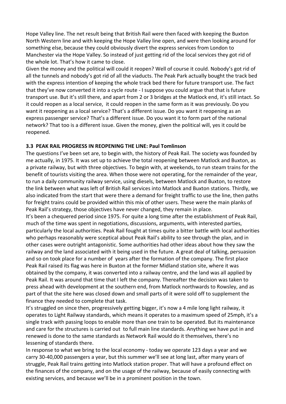Hope Valley line. The net result being that British Rail were then faced with keeping the Buxton North Western line and with keeping the Hope Valley line open, and were then looking around for something else, because they could obviously divert the express services from London to Manchester via the Hope Valley. So instead of just getting rid of the local services they got rid of the whole lot. That's how it came to close.

Given the money and the political will could it reopen? Well of course it could. Nobody's got rid of all the tunnels and nobody's got rid of all the viaducts. The Peak Park actually bought the track bed with the express intention of keeping the whole track bed there for future transport use. The fact that they've now converted it into a cycle route ‐ I suppose you could argue that that is future transport use. But it's still there, and apart from 2 or 3 bridges at the Matlock end, it's still intact. So it could reopen as a local service, it could reopen in the same form as it was previously. Do you want it reopening as a local service? That's a different issue. Do you want it reopening as an express passenger service? That's a different issue. Do you want it to form part of the national network? That too is a different issue. Given the money, given the political will, yes it could be reopened.

#### **3.3 PEAK RAIL PROGRESS IN REOPENING THE LINE: Paul Tomlinson**

The questions I've been set are, to begin with, the history of Peak Rail. The society was founded by me actually, in 1975. It was set up to achieve the total reopening between Matlock and Buxton, as a private railway, but with three objectives. To begin with, at weekends, to run steam trains for the benefit of tourists visiting the area. When those were not operating, for the remainder of the year, to run a daily community railway service, using diesels, between Matlock and Buxton, to restore the link between what was left of British Rail services into Matlock and Buxton stations. Thirdly, we also indicated from the start that were there a demand for freight traffic to use the line, then paths for freight trains could be provided within this mix of other users. These were the main planks of Peak Rail's strategy, those objectives have never changed, they remain in place.

It's been a chequered period since 1975. For quite a long time after the establishment of Peak Rail, much of the time was spent in negotiations, discussions, arguments, with interested parties, particularly the local authorities. Peak Rail fought at times quite a bitter battle with local authorities who perhaps reasonably were sceptical about Peak Rail's ability to see through the plan, and in other cases were outright antagonistic. Some authorities had other ideas about how they saw the railway and the land associated with it being used in the future. A great deal of talking, persuasion and so on took place for a number of years after the formation of the company. The first place Peak Rail raised its flag was here in Buxton at the former Midland station site, where it was obtained by the company, it was converted into a railway centre, and the land was all applied by Peak Rail. It was around that time that I left the company. Thereafter the decision was taken to press ahead with development at the southern end, from Matlock northwards to Rowsley, and as part of that the site here was closed down and small parts of it were sold off to supplement the finance they needed to complete that task.

It's struggled on since then, progressively getting bigger, it's now a 4 mile long light railway, it operates to Light Railway standards, which means it operates to a maximum speed of 25mph, it's a single track with passing loops to enable more than one train to be operated. But its maintenance and care for the structures is carried out to full main line standards. Anything we have put in and renewed is done to the same standards as Network Rail would do it themselves, there's no lessening of standards there.

In response to what we bring to the local economy - today we operate 123 days a year and we carry 30‐40,000 passengers a year, but this summer we'll see at long last, after many years of struggle, Peak Rail trains getting into Matlock station proper. That will have a profound effect on the finances of the company, and on the usage of the railway, because of easily connecting with existing services, and because we'll be in a prominent position in the town.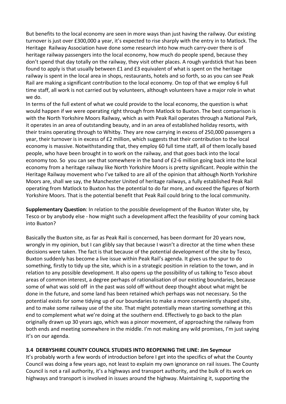But benefits to the local economy are seen in more ways than just having the railway. Our existing turnover is just over £300,000 a year, it's expected to rise sharply with the entry in to Matlock. The Heritage Railway Association have done some research into how much carry-over there is of heritage railway passengers into the local economy, how much do people spend, because they don't spend that day totally on the railway, they visit other places. A rough yardstick that has been found to apply is that usually between £1 and £3 equivalent of what is spent on the heritage railway is spent in the local area in shops, restaurants, hotels and so forth, so as you can see Peak Rail are making a significant contribution to the local economy. On top of that we employ 6 full time staff, all work is not carried out by volunteers, although volunteers have a major role in what we do.

In terms of the full extent of what we could provide to the local economy, the question is what would happen if we were operating right through from Matlock to Buxton. The best comparison is with the North Yorkshire Moors Railway, which as with Peak Rail operates through a National Park, it operates in an area of outstanding beauty, and in an area of established holiday resorts, with their trains operating through to Whitby. They are now carrying in excess of 250,000 passengers a year, their turnover is in excess of £2 million, which suggests that their contribution to the local economy is massive. Notwithstanding that, they employ 60 full time staff, all of them locally based people, who have been brought in to work on the railway, and that goes back into the local economy too. So you can see that somewhere in the band of £2‐6 million going back into the local economy from a heritage railway like North Yorkshire Moors is pretty significant. People within the Heritage Railway movement who I've talked to are all of the opinion that although North Yorkshire Moors are, shall we say, the Manchester United of heritage railways, a fully established Peak Rail operating from Matlock to Buxton has the potential to do far more, and exceed the figures of North Yorkshire Moors. That is the potential benefit that Peak Rail could bring to the local community.

**Supplementary Question**: In relation to the possible development of the Buxton Water site, by Tesco or by anybody else ‐ how might such a development affect the feasibility of your coming back into Buxton?

Basically the Buxton site, as far as Peak Rail is concerned, has been dormant for 20 years now, wrongly in my opinion, but I can glibly say that because I wasn't a director at the time when these decisions were taken. The fact is that because of the potential development of the site by Tesco, Buxton suddenly has become a live issue within Peak Rail's agenda. It gives us the spur to do something, firstly to tidy up the site, which is in a strategic position in relation to the town, and in relation to any possible development. It also opens up the possibility of us talking to Tesco about areas of common interest, a degree perhaps of rationalisation of our existing boundaries, because some of what was sold off in the past was sold off without deep thought about what might be done in the future, and some land has been retained which perhaps was not necessary. So the potential exists for some tidying up of our boundaries to make a more conveniently shaped site, and to make some railway use of the site. That might potentially mean starting something at this end to complement what we're doing at the southern end. Effectively to go back to the plan originally drawn up 30 years ago, which was a pincer movement, of approaching the railway from both ends and meeting somewhere in the middle. I'm not making any wild promises, I'm just saying it's on our agenda.

#### **3.4 DERBYSHIRE COUNTY COUNCIL STUDIES INTO REOPENING THE LINE: Jim Seymour**

It's probably worth a few words of introduction before I get into the specifics of what the County Council was doing a few years ago, not least to explain my own ignorance on rail issues. The County Council is not a rail authority, it's a highways and transport authority, and the bulk of its work on highways and transport is involved in issues around the highway. Maintaining it, supporting the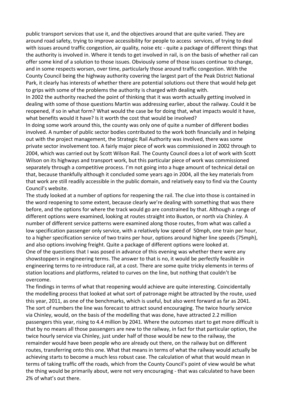public transport services that use it, and the objectives around that are quite varied. They are around road safety, trying to improve accessibility for people to access services, of trying to deal with issues around traffic congestion, air quality, noise etc - quite a package of different things that the authority is involved in. Where it tends to get involved in rail, is on the basis of whether rail can offer some kind of a solution to those issues. Obviously some of those issues continue to change, and in some respects worsen, over time, particularly those around traffic congestion. With the County Council being the highway authority covering the largest part of the Peak District National Park, it clearly has interests of whether there are potential solutions out there that would help get to grips with some of the problems the authority is charged with dealing with.

In 2002 the authority reached the point of thinking that it was worth actually getting involved in dealing with some of those questions Martin was addressing earlier, about the railway. Could it be reopened, if so in what form? What would the case be for doing that, what impacts would it have, what benefits would it have? Is it worth the cost that would be involved?

In doing some work around this, the county was only one of quite a number of different bodies involved. A number of public sector bodies contributed to the work both financially and in helping out with the project management, the Strategic Rail Authority was involved, there was some private sector involvement too. A fairly major piece of work was commissioned in 2002 through to 2004, which was carried out by Scott Wilson Rail. The County Council does a lot of work with Scott Wilson on its highways and transport work, but this particular piece of work was commissioned separately through a competitive process. I'm not going into a huge amount of technical detail on that, because thankfully although it concluded some years ago in 2004, all the key materials from that work are still readily accessible in the public domain, and relatively easy to find via the County Council's website.

The study looked at a number of options for reopening the rail. The clue into those is contained in the word reopening to some extent, because clearly we're dealing with something that was there before, and the options for where the track would go are constrained by that. Although a range of different options were examined, looking at routes straight into Buxton, or north via Chinley. A number of different service patterns were examined along those routes, from what was called a low specification passenger only service, with a relatively low speed of 50mph, one train per hour, to a higher specification service of two trains per hour, options around higher line speeds (75mph), and also options involving freight. Quite a package of different options were looked at. One of the questions that I was posed in advance of this evening was whether there were any showstoppers in engineering terms. The answer to that is no, it would be perfectly feasible in engineering terms to re‐introduce rail, at a cost. There are some quite tricky elements in terms of station locations and platforms, related to curves on the line, but nothing that couldn't be overcome.

The findings in terms of what that reopening would achieve are quite interesting. Coincidentally the modelling process that looked at what sort of patronage might be attracted by the route, used this year, 2011, as one of the benchmarks, which is useful, but also went forward as far as 2041. The sort of numbers the line was forecast to attract sound encouraging. The twice hourly service via Chinley, would, on the basis of the modelling that was done, have attracted 2.2 million passengers this year, rising to 4.4 million by 2041. Where the outcomes start to get more difficult is that by no means all those passengers are new to the railway, in fact for that particular option, the twice hourly service via Chinley, just under half of those would be new to the railway, the remainder would have been people who are already out there, on the railway but on different routes, transferring onto this one. What that means in terms of what the railway would actually be achieving starts to become a much less robust case. The calculation of what that would mean in terms of taking traffic off the roads, which from the County Council's point of view would be what the thing would be primarily about, were not very encouraging ‐ that was calculated to have been 2% of what's out there.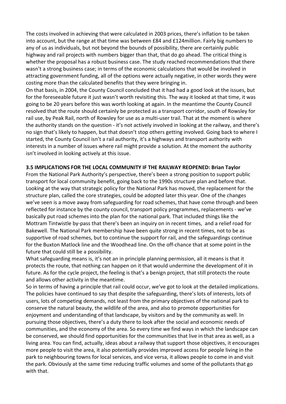The costs involved in achieving that were calculated in 2003 prices, there's inflation to be taken into account, but the range at that time was between £84 and £124million. Fairly big numbers to any of us as individuals, but not beyond the bounds of possibility, there are certainly public highway and rail projects with numbers bigger than that, that do go ahead. The critical thing is whether the proposal has a robust business case. The study reached recommendations that there wasn't a strong business case; in terms of the economic calculations that would be involved in attracting government funding, all of the options were actually negative, in other words they were costing more than the calculated benefits that they were bringing in.

On that basis, in 2004, the County Council concluded that it had had a good look at the issues, but for the foreseeable future it just wasn't worth revisiting this. The way it looked at that time, it was going to be 20 years before this was worth looking at again. In the meantime the County Council resolved that the route should certainly be protected as a transport corridor, south of Rowsley for rail use, by Peak Rail, north of Rowsley for use as a multi‐user trail. That at the moment is where the authority stands on the question ‐ it's not actively involved in looking at the railway, and there's no sign that's likely to happen, but that doesn't stop others getting involved. Going back to where I started, the County Council isn't a rail authority, it's a highways and transport authority with interests in a number of issues where rail might provide a solution. At the moment the authority isn't involved in looking actively at this issue.

#### **3.5 IMPLICATIONS FOR THE LOCAL COMMUNITY IF THE RAILWAY REOPENED: Brian Taylor**

From the National Park Authority's perspective, there's been a strong position to support public transport for local community benefit, going back to the 1990s structure plan and before that. Looking at the way that strategic policy for the National Park has moved, the replacement for the structure plan, called the core strategies, could be adopted later this year. One of the changes we've seen is a move away from safeguarding for road schemes, that have come through and been reflected for instance by the county council, transport policy programmes, replacements ‐ we've basically put road schemes into the plan for the national park. That included things like the Mottram Tintwistle by‐pass that there's been an inquiry on in recent times, and a relief road for Bakewell. The National Park membership have been quite strong in recent times, not to be as supportive of road schemes, but to continue the support for rail, and the safeguardings continue for the Buxton Matlock line and the Woodhead line. On the off‐chance that at some point in the future that could still be a possibility.

What safeguarding means is, it's not an in principle planning permission, all it means is that it protects the route, that nothing can happen on it that would undermine the development of it in future. As for the cycle project, the feeling is that's a benign project, that still protects the route and allows other activity in the meantime.

So in terms of having a principle that rail could occur, we've got to look at the detailed implications. The policies have continued to say that despite the safeguarding, there's lots of interests, lots of users, lots of competing demands, not least from the primary objectives of the national park to conserve the natural beauty, the wildlife of the area, and also to promote opportunities for enjoyment and understanding of that landscape, by visitors and by the community as well. In pursuing those objectives, there's a duty there to look after the social and economic needs of communities, and the economy of the area. So every time we find ways in which the landscape can be conserved, we should find opportunities for the communities that live in that area as well, as a living area. You can find, actually, ideas about a railway that support those objectives, it encourages more people to visit the area, it also potentially provides improved access for people living in the park to neighbouring towns for local services, and vice versa, it allows people to come in and visit the park. Obviously at the same time reducing traffic volumes and some of the pollutants that go with that.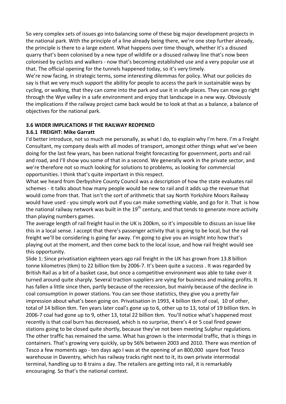So very complex sets of issues go into balancing some of these big major development projects in the national park. With the principle of a line already being there, we're one step further already, the principle is there to a large extent. What happens over time though, whether it's a disused quarry that's been colonised by a new type of wildlife or a disused railway line that's now been colonised by cyclists and walkers ‐ now that's becoming established use and a very popular use at that. The official opening for the tunnels happened today, so it's very timely.

We're now facing, in strategic terms, some interesting dilemmas for policy. What our policies do say is that we very much support the ability for people to access the park in sustainable ways by cycling, or walking, that they can come into the park and use it in safe places. They can now go right through the Wye valley in a safe environment and enjoy that landscape in a new way. Obviously the implications if the railway project came back would be to look at that as a balance, a balance of objectives for the national park.

#### **3.6 WIDER IMPLICATIONS IF THE RAILWAY REOPENED**

#### **3.6.1 FREIGHT: Mike Garratt**

I'd better introduce, not so much me personally, as what I do, to explain why I'm here. I'm a Freight Consultant, my company deals with all modes of transport, amongst other things what we've been doing for the last few years, has been national freight forecasting for government, ports and rail and road, and I'll show you some of that in a second. We generally work in the private sector, and we're therefore not so much looking for solutions to problems, as looking for commercial opportunities. I think that's quite important in this respect.

What we heard from Derbyshire County Council was a description of how the state evaluates rail schemes ‐ it talks about how many people would be new to rail and it adds up the revenue that would come from that. That isn't the sort of arithmetic that say North Yorkshire Moors Railway would have used - you simply work out if you can make something viable, and go for it. That is how the national railway network was built in the  $19<sup>th</sup>$  century, and that tends to generate more activity than playing numbers games.

The average length of rail freight haul in the UK is 200km, so it's impossible to discuss an issue like this in a local sense. I accept that there's passenger activity that is going to be local, but the rail freight we'll be considering is going far away. I'm going to give you an insight into how that's playing out at the moment, and then come back to the local issue, and how rail freight would see this opportunity.

Slide 1: Since privatisation eighteen years ago rail freight in the UK has grown from 13.8 billion tonne kilometres (tkm) to 22 billion tkm by 2006‐7. It's been quite a success . It was regarded by British Rail as a bit of a basket case, but once a competitive environment was able to take over it turned around quite sharply. Several traction suppliers are vying for business and making profits. It has fallen a little since then, partly because of the recession, but mainly because of the decline in coal consumption in power stations. You can see those statistics, they give you a pretty fair impression about what's been going on. Privatisation in 1993, 4 billion tkm of coal, 10 of other, total of 14 billion tkm. Ten years later coal's gone up to 6, other up to 13, total of 19 billion tkm. In 2006‐7 coal had gone up to 9, other 13, total 22 billion tkm. You'll notice what's happened most recently is that coal burn has decreased, which is no surprise, there's 4 or 5 coal fired power stations going to be closed quite shortly, because they've not been meeting Sulphur regulations. The other traffic has remained the same. What has grown is the intermodal traffic, that is things in containers. That's growing very quickly, up by 56% between 2003 and 2010. There was mention of Tesco a few moments ago ‐ ten days ago I was at the opening of an 800,000 sqare foot Tesco warehouse in Daventry, which has railway tracks right next to it, its own private intermodal terminal, handling up to 8 trains a day. The retailers are getting into rail, it is remarkably encouraging. So that's the national context.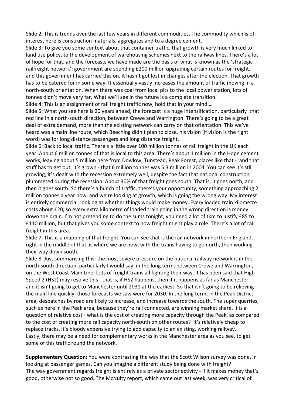Slide 2: This is trends over the last few years in different commodities. The commodity which is of interest here is construction materials, aggregates and to a degree cement.

Slide 3: To give you some context about that container traffic, that growth is very much linked to land use policy, to the development of warehousing schemes next to the railway lines. There's a lot of hope for that, and the forecasts we have made are the basis of what is known as the 'strategic railfreight network'; government are spending £200 million upgrading certain routes for freight, and this government has carried this on, it hasn't got lost in changes after the election. That growth has to be catered for in some way. It essentially vastly increases the amount of traffic moving in a north‐south orientation. When there was coal from local pits to the local power station, lots of tonnes didn't move very far. What we'll see in the future is a complete transition.

Slide 4: This is an assignment of rail freight traffic now, hold that in your mind …

Slide 5: What you see here is 20 years ahead, the forecast is a huge intensification, particularly that red line in a north‐south direction, between Crewe and Warrington. There's going to be a great deal of extra demand, more than the existing network can carry on that orientation. This we've heard was a main line route, which Beeching didn't plan to close, his vision (if vision is the right word) was for long distance passengers and long distance freight.

Slide 6: Back to local traffic. There's a little over 100 million tonnes of rail freight in the UK each year. About 6 million tonnes of that is local to this area. There's about 1 million in the Hope cement works, leaving about 5 million here from Dowlow, Tunstead, Peak Forest, places like that ‐ and that stuff has to get out. It's grown ‐ that 6 million tonnes was 5.3 million in 2004. You can see it's still growing, it's dealt with the recession extremely well, despite the fact that national construction plummeted during the recession. About 30% of that freight goes south. That is, it goes north, and then it goes south. So there's a bunch of traffic, there's your opportunity, something approaching 2 million tonnes a year now, and we're looking at growth, which is going the wrong way. My interest is entirely commercial, looking at whether things would make money. Every loaded train kilometre costs about £20, so every extra kilometre of loaded train going in the wrong direction is money down the drain. I'm not pretending to do the sums tonight, you need a lot of tkm to justify £85 to £110 million, but that gives you some context to how freight might play a role. There's a lot of rail freight in this area.

Slide 7: This is a mapping of that freight. You can see that is the rail network in northern England, right in the middle of that is where we are now, with the trains having to go north, then working their way down south.

Slide 8: Just summarising this: the most severe pressure on the national railway network is in the north-south direction, particularly I would say, in the long term, between Crewe and Warrington, on the West Coast Main Line. Lots of freight trains all fighting their way. It has been said that High Speed 2 (HS2) may resolve this - that is, if HS2 happens, then if it happens as far as Manchester, and it isn't going to get to Manchester until 2031 at the earliest. So that isn't going to be relieving the main line quickly, those forecasts we saw were for 2030. In the long term, in the Peak District area, despatches by road are likely to increase, and increase towards the south. The super quarries, such as here in the Peak area, because they're rail connected, are winning market share. It is a question of relative cost ‐ what is the cost of creating more capacity through the Peak, as compared to the cost of creating more rail capacity north‐south on other routes? It's relatively cheap to replace tracks, it's bloody expensive trying to add capacity to an existing, working railway. Lastly, there may be a need for complementary works in the Manchester area as you see, to get some of this traffic round the network.

**Supplementary Question:** You were contrasting the way that the Scott Wilson survey was done, in looking at passenger games. Can you imagine a different study being done with freight? The way government regards freight is entirely as a private sector activity ‐ if it makes money that's good, otherwise not so good. The McNulty report, which came out last week, was very critical of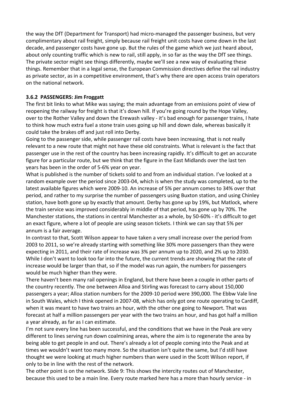the way the DfT (Department for Transport) had micro-managed the passenger business, but very complimentary about rail freight, simply because rail freight unit costs have come down in the last decade, and passenger costs have gone up. But the rules of the game which we just heard about, about only counting traffic which is new to rail, still apply, in so far as the way the DfT see things. The private sector might see things differently, maybe we'll see a new way of evaluating these things. Remember that in a legal sense, the European Commission directives define the rail industry as private sector, as in a competitive environment, that's why there are open access train operators on the national network.

#### **3.6.2 PASSENGERS: Jim Froggatt**

The first bit links to what Mike was saying; the main advantage from an emissions point of view of reopening the railway for freight is that it's down hill. If you're going round by the Hope Valley, over to the Rother Valley and down the Erewash valley ‐ it's bad enough for passenger trains, I hate to think how much extra fuel a stone train uses going up hill and down dale, whereas basically it could take the brakes off and just roll into Derby.

Going to the passenger side, while passenger rail costs have been increasing, that is not really relevant to a new route that might not have these old constraints. What is relevant is the fact that passenger use in the rest of the country has been increasing rapidly. It's difficult to get an accurate figure for a particular route, but we think that the figure in the East Midlands over the last ten years has been in the order of 5‐6% year on year.

What is published is the number of tickets sold to and from an individual station. I've looked at a random example over the period since 2003‐04, which is when the study was completed, up to the latest available figures which were 2009‐10. An increase of 5% per annum comes to 34% over that period, and rather to my surprise the number of passengers using Buxton station, and using Chinley station, have both gone up by exactly that amount. Derby has gone up by 19%, but Matlock, where the train service was improved considerably in middle of that period, has gone up by 70%. The Manchester stations, the stations in central Manchester as a whole, by 50‐60% ‐ it's difficult to get an exact figure, where a lot of people are using season tickets. I think we can say that 5% per annum is a fair average.

In contrast to that, Scott Wilson appear to have taken a very small increase over the period from 2003 to 2011, so we're already starting with something like 30% more passengers than they were expecting in 2011, and their rate of increase was 3% per annum up to 2020, and 2% up to 2030. While I don't want to look too far into the future, the current trends are showing that the rate of increase would be larger than that, so if the model was run again, the numbers for passengers would be much higher than they were.

There haven't been many rail openings in England, but there have been a couple in other parts of the country recently. The one between Alloa and Stirling was forecast to carry about 150,000 passengers a year; Alloa station numbers for the 2009‐10 period were 390,000. The Ebbw Vale line in South Wales, which I think opened in 2007‐08, which has only got one route operating to Cardiff, when it was meant to have two trains an hour, with the other one going to Newport. That was forecast at half a million passengers per year with the two trains an hour, and has got half a million a year already, as far as I can estimate.

I'm not sure every line has been successful, and the conditions that we have in the Peak are very different to lines serving run down coalmining areas, where the aim is to regenerate the area by being able to get people in and out. There's already a lot of people coming into the Peak and at times we wouldn't want too many more. So the situation isn't quite the same, but I'd still have thought we were looking at much higher numbers than were used in the Scott Wilson report, if only to be in line with the rest of the network.

The other point is on the network. Slide 9: This shows the intercity routes out of Manchester, because this used to be a main line. Every route marked here has a more than hourly service ‐ in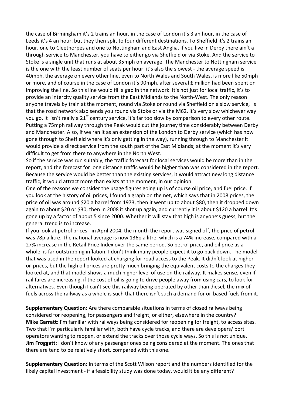the case of Birmingham it's 2 trains an hour, in the case of London it's 3 an hour, in the case of Leeds it's 4 an hour, but they then split to four different destinations. To Sheffield it's 2 trains an hour, one to Cleethorpes and one to Nottingham and East Anglia. If you live in Derby there ain't a through service to Manchester, you have to either go via Sheffield or via Stoke. And the service to Stoke is a single unit that runs at about 35mph on average. The Manchester to Nottingham service is the one with the least number of seats per hour; it's also the slowest ‐ the average speed is 40mph, the average on every other line, even to North Wales and South Wales, is more like 50mph or more, and of course in the case of London it's 90mph, after several £ million had been spent on improving the line. So this line would fill a gap in the network. It's not just for local traffic, it's to provide an intercity quality service from the East Midlands to the North‐West. The only reason anyone travels by train at the moment, round via Stoke or round via Sheffield on a slow service, is that the road network also sends you round via Stoke or via the M62, it's very slow whichever way you go. It isn't really a 21<sup>st</sup> century service, it's far too slow by comparison to every other route. Putting a 75mph railway through the Peak would cut the journey time considerably between Derby and Manchester. Also, if we ran it as an extension of the London to Derby service (which has now gone through to Sheffield where it's only getting in the way), running through to Manchester it would provide a direct service from the south part of the East Midlands; at the moment it's very difficult to get from there to anywhere in the North West.

So if the service was run suitably, the traffic forecast for local services would be more than in the report, and the forecast for long distance traffic would be higher than was considered in the report. Because the service would be better than the existing services, it would attract new long distance traffic, it would attract more than exists at the moment, in our opinion.

One of the reasons we consider the usage figures going up is of course oil price, and fuel price. If you look at the history of oil prices, I found a graph on the net, which says that in 2008 prices, the price of oil was around \$20 a barrel from 1973, then it went up to about \$80, then it dropped down again to about \$20 or \$30, then in 2008 it shot up again, and currently it is about \$120 a barrel. It's gone up by a factor of about 5 since 2000. Whether it will stay that high is anyone's guess, but the general trend is to increase.

If you look at petrol prices ‐ in April 2004, the month the report was signed off, the price of petrol was 78p a litre. The national average is now 136p a litre, which is a 74% increase, compared with a 27% increase in the Retail Price Index over the same period. So petrol price, and oil price as a whole, is far outstripping inflation. I don't think many people expect it to go back down. The model that was used in the report looked at charging for road access to the Peak. It didn't look at higher oil prices, but the high oil prices are pretty much bringing the equivalent costs to the charges they looked at, and that model shows a much higher level of use on the railway. It makes sense, even if rail fares are increasing, if the cost of oil is going to drive people away from using cars, to look for alternatives. Even though I can't see this railway being operated by other than diesel, the mix of fuels across the railway as a whole is such that there isn't such a demand for oil based fuels from it.

**Supplementary Question:** Are there comparable situations in terms of closed railways being considered for reopening, for passengers and freight, or either, elsewhere in the country? **Mike Garratt**: I'm familiar with railways being considered for reopening for freight, to access sites. Two that I'm particularly familiar with, both have cycle tracks, and there are developers/ port operators wanting to reopen, or extend the tracks over those cycle ways. So this is not unique. **Jim Froggatt:** I don't know of any passenger ones being considered at the moment. The ones that there are tend to be relatively short, compared with this one.

**Supplementary Question:** In terms of the Scott Wilson report and the numbers identified for the likely capital investment ‐ if a feasibility study was done today, would it be any different?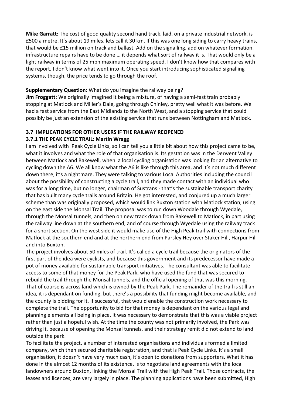**Mike Garratt:** The cost of good quality second hand track, laid, on a private industrial network, is £500 a metre. It's about 19 miles, lets call it 30 km. If this was one long siding to carry heavy trains, that would be £15 million on track and ballast. Add on the signalling, add on whatever formation, infrastructure repairs have to be done … it depends what sort of railway it is. That would only be a light railway in terms of 25 mph maximum operating speed. I don't know how that compares with the report, I don't know what went into it. Once you start introducing sophisticated signalling systems, though, the price tends to go through the roof.

#### **Supplementary Question:** What do you imagine the railway being?

**Jim Froggatt:** We originally imagined it being a mixture, of having a semi-fast train probably stopping at Matlock and Miller's Dale, going through Chinley, pretty well what it was before. We had a fast service from the East Midlands to the North West, and a stopping service that could possibly be just an extension of the existing service that runs between Nottingham and Matlock.

# **3.7 IMPLICATIONS FOR OTHER USERS IF THE RAILWAY REOPENED**

#### **3.7.1 THE PEAK CYCLE TRAIL: Martin Wragg**

I am involved with Peak Cycle Links, so I can tell you a little bit about how this project came to be, what it involves and what the role of that organisation is. Its gestation was in the Derwent Valley between Matlock and Bakewell, when a local cycling organisation was looking for an alternative to cycling down the A6. We all know what the A6 is like through this area, and it's not much different down there, it's a nightmare. They were talking to various Local Authorities including the council about the possibility of constructing a cycle trail, and they made contact with an individual who was for a long time, but no longer, chairman of Sustrans - that's the sustainable transport charity that has built many cycle trails around Britain. He got interested, and conjured up a much larger scheme than was originally proposed, which would link Buxton station with Matlock station, using on the east side the Monsal Trail. The proposal was to run down Woodale through Wyedale, through the Monsal tunnels, and then on new track down from Bakewell to Matlock, in part using the railway line down at the southern end, and of course through Wyedale using the railway track for a short section. On the west side it would make use of the High Peak trail with connections from Matlock at the southern end and at the northern end from Parsley Hey over Staker Hill, Harpur Hill and into Buxton.

The project involves about 50 miles of trail. It's called a cycle trail because the originators of the first part of the idea were cyclists, and because this government and its predecessor have made a pot of money available for sustainable transport initiatives. The consultant was able to facilitate access to some of that money for the Peak Park, who have used the fund that was secured to rebuild the trail through the Monsal tunnels, and the official opening of that was this morning. That of course is across land which is owned by the Peak Park. The remainder of the trail is still an idea, it is dependant on funding, but there's a possibility that funding might become available, and the county is bidding for it. If successful, that would enable the construction work necessary to complete the trail. The opportunity to bid for that money is dependant on the various legal and planning elements all being in place. It was necessary to demonstrate that this was a viable project rather than just a hopeful wish. At the time the county was not primarily involved, the Park was driving it, because of opening the Monsal tunnels, and their strategy remit did not extend to land outside the park.

To facilitate the project, a number of interested organisations and individuals formed a limited company, which then secured charitable registration, and that is Peak Cycle Links. It's a small organisation, it doesn't have very much cash, it's open to donations from supporters. What it has done in the almost 12 months of its existence, is to negotiate land agreements with the local landowners around Buxton, linking the Monsal Trail with the High Peak Trail. Those contracts, the leases and licences, are very largely in place. The planning applications have been submitted, High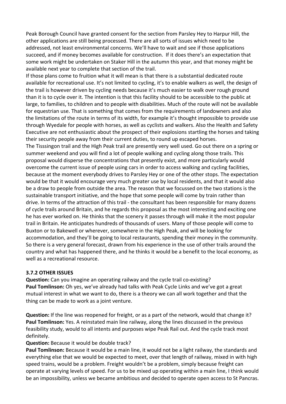Peak Borough Council have granted consent for the section from Parsley Hey to Harpur Hill, the other applications are still being processed. There are all sorts of issues which need to be addressed, not least environmental concerns. We'll have to wait and see if those applications succeed, and if money becomes available for construction. If it does there's an expectation that some work might be undertaken on Staker Hill in the autumn this year, and that money might be available next year to complete that section of the trail.

If those plans come to fruition what it will mean is that there is a substantial dedicated route available for recreational use. It's not limited to cycling, it's to enable walkers as well, the design of the trail is however driven by cycling needs because it's much easier to walk over rough ground than it is to cycle over it. The intention is that this facility should to be accessible to the public at large, to families, to children and to people with disabilities. Much of the route will not be available for equestrian use. That is something that comes from the requirements of landowners and also the limitations of the route in terms of its width, for example it's thought impossible to provide use through Wyedale for people with horses, as well as cyclists and walkers. Also the Health and Safety Executive are not enthusiastic about the prospect of their explosions startling the horses and taking their security people away from their current duties, to round up escaped horses.

The Tisssingon trail and the High Peak trail are presently very well used. Go out there on a spring or summer weekend and you will find a lot of people walking and cycling along those trails. This proposal would disperse the concentrations that presently exist, and more particularly would overcome the current issue of people using cars in order to access walking and cycling facilities, because at the moment everybody drives to Parsley Hey or one of the other stops. The expectation would be that it would encourage very much greater use by local residents, and that it would also be a draw to people from outside the area. The reason that we focussed on the two stations is the sustainable transport initiative, and the hope that some people will come by train rather than drive. In terms of the attraction of this trail ‐ the consultant has been responsible for many dozens of cycle trails around Britain, and he regards this proposal as the most interesting and exciting one he has ever worked on. He thinks that the scenery it passes through will make it the most popular trail in Britain. He anticipates hundreds of thousands of users. Many of those people will come to Buxton or to Bakewell or wherever, somewhere in the High Peak, and will be looking for accommodation, and they'll be going to local restaurants, spending their money in the community. So there is a very general forecast, drawn from his experience in the use of other trails around the country and what has happened there, and he thinks it would be a benefit to the local economy, as well as a recreational resource.

#### **3.7.2 OTHER ISSUES**

**Question:** Can you imagine an operating railway and the cycle trail co-existing? **Paul Tomlinson:** Oh yes, we've already had talks with Peak Cycle Links and we've got a great mutual interest in what we want to do, there is a theory we can all work together and that the thing can be made to work as a joint venture.

**Question:** If the line was reopened for freight, or as a part of the network, would that change it? **Paul Tomlinson:** Yes. A reinstated main line railway, along the lines discussed in the previous feasibility study, would to all intents and purposes wipe Peak Rail out. And the cycle track most definitely.

#### **Question:** Because it would be double track?

**Paul Tomlinson:** Because it would be a main line, it would not be a light railway, the standards and everything else that we would be expected to meet, over that length of railway, mixed in with high speed trains, would be a problem. Freight wouldn't be a problem, simply because freight can operate at varying levels of speed. For us to be mixed up operating within a main line, I think would be an impossibility, unless we became ambitious and decided to operate open access to St Pancras.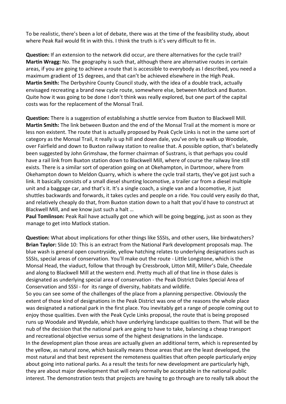To be realistic, there's been a lot of debate, there was at the time of the feasibility study, about where Peak Rail would fit in with this. I think the truth is it's very difficult to fit in.

**Question:** If an extension to the network did occur, are there alternatives for the cycle trail? **Martin Wragg:** No. The geography is such that, although there are alternative routes in certain areas, if you are going to achieve a route that is accessible to everybody as I described, you need a maximum gradient of 15 degrees, and that can't be achieved elsewhere in the High Peak. **Martin Smith:** The Derbyshire County Council study, with the idea of a double track, actually envisaged recreating a brand new cycle route, somewhere else, between Matlock and Buxton. Quite how it was going to be done I don't think was really explored, but one part of the capital costs was for the replacement of the Monsal Trail.

**Question:** There is a suggestion of establishing a shuttle service from Buxton to Blackwell Mill. **Martin Smith:** The link between Buxton and the end of the Monsal Trail at the moment is more or less non existent. The route that is actually proposed by Peak Cycle Links is not in the same sort of category as the Monsal Trail, it really is up hill and down dale, you've only to walk up Woodale, over Fairfield and down to Buxton railway station to realise that. A possible option, that's belatedly been suggested by John Grimshaw, the former chairman of Sustrans, is that perhaps you could have a rail link from Buxton station down to Blackwell Mill, where of course the railway line still exists. There is a similar sort of operation going on at Okehampton, in Dartmoor, where from Okehampton down to Meldon Quarry, which is where the cycle trail starts, they've got just such a link. It basically consists of a small diesel shunting locomotive, a trailer car from a diesel multiple unit and a baggage car, and that's it. It's a single coach, a single van and a locomotive, it just shuttles backwards and forwards, it takes cycles and people on a ride. You could very easily do that, and relatively cheaply do that, from Buxton station down to a halt that you'd have to construct at Blackwell Mill, and we know just such a halt …

**Paul Tomlinson:** Peak Rail have actually got one which will be going begging, just as soon as they manage to get into Matlock station.

**Question:** What about implications for other things like SSSIs, and other users, like birdwatchers? **Brian Taylor:** Slide 10: This is an extract from the National Park development proposals map. The blue wash is general open countryside, yellow hatching relates to underlying designations such as SSSIs, special areas of conservation. You'll make out the route ‐ Little Longstone, which is the Monsal Head, the viaduct, follow that through by Cressbrook, Litton Mill, Miller's Dale, Cheedale and along to Blackwell Mill at the western end. Pretty much all of that line in those dales is designated as underlying special area of conservation ‐ the Peak District Dales Special Area of Conservation and SSSI ‐ for its range of diversity, habitats and wildlife.

So you can see some of the challenges of the place from a planning perspective. Obviously the extent of those kind of designations in the Peak District was one of the reasons the whole place was designated a national park in the first place. You inevitably get a range of people coming out to enjoy those qualities. Even with the Peak Cycle Links proposal, the route that is being proposed runs up Woodale and Wyedale, which have underlying landscape qualities to them. That will be the nub of the decision that the national park are going to have to take, balancing a cheap transport and recreational objective versus some of the highest designations in the landscape. In the development plan those areas are actually given an additional term, which is represented by the yellow, as natural zone, which basically means those areas that are the least developed, the most natural and that best represent the remoteness qualities that often people particularly enjoy about going into national parks. As a result the tests for new development are particularly high, they are about major development that will only normally be acceptable in the national public interest. The demonstration tests that projects are having to go through are to really talk about the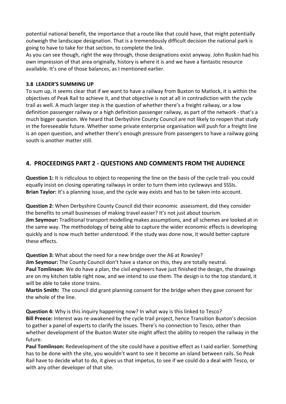potential national benefit, the importance that a route like that could have, that might potentially outweigh the landscape designation. That is a tremendously difficult decision the national park is going to have to take for that section, to complete the link.

As you can see though, right the way through, those designations exist anyway. John Ruskin had his own impression of that area originally, history is where it is and we have a fantastic resource available. It's one of those balances, as I mentioned earlier.

#### **3.8 LEADER'S SUMMING UP**

To sum up, it seems clear that if we want to have a railway from Buxton to Matlock, it is within the objectives of Peak Rail to achieve it, and that objective is not at all in contradiction with the cycle trail as well. A much larger step is the question of whether there's a freight railway, or a low definition passenger railway or a high definition passenger railway, as part of the network ‐ that's a much bigger question. We heard that Derbyshire County Council are not likely to reopen that study in the foreseeable future. Whether some private enterprise organisation will push for a freight line is an open question, and whether there's enough pressure from passengers to have a railway going south is another matter still.

# **4. PROCEEDINGS PART 2 ‐ QUESTIONS AND COMMENTS FROM THE AUDIENCE**

**Question 1:** It is ridiculous to object to reopening the line on the basis of the cycle trail-you could equally insist on closing operating railways in order to turn them into cycleways and SSSIs. **Brian Taylor:** It's a planning issue, and the cycle way exists and has to be taken into account.

**Question 2:** When Derbyshire County Council did their economic assessment, did they consider the benefits to small businesses of making travel easier? It's not just about tourism. **Jim Seymour:** Traditional transport modelling makes assumptions, and all schemes are looked at in the same way. The methodology of being able to capture the wider economic effects is developing quickly and is now much better understood. If the study was done now, it would better capture these effects.

**Question 3:** What about the need for a new bridge over the A6 at Rowsley?

**Jim Seymour:** The County Council don't have a stance on this, they are totally neutral.

**Paul Tomlinson:** We do have a plan, the civil engineers have just finished the design, the drawings are on my kitchen table right now, and we intend to use them. The design is to the top standard, it will be able to take stone trains.

**Martin Smith:** The council did grant planning consent for the bridge when they gave consent for the whole of the line.

**Question 4:** Why is this inquiry happening now? In what way is this linked to Tesco? **Bill Preece:** Interest was re‐awakened by the cycle trail project, hence Transition Buxton's decision to gather a panel of experts to clarify the issues. There's no connection to Tesco, other than whether development of the Buxton Water site might affect the ability to reopen the railway in the future.

**Paul Tomlinson:** Redevelopment of the site could have a positive effect as I said earlier. Something has to be done with the site, you wouldn't want to see it become an island between rails. So Peak Rail have to decide what to do, it gives us that impetus, to see if we could do a deal with Tesco, or with any other developer of that site.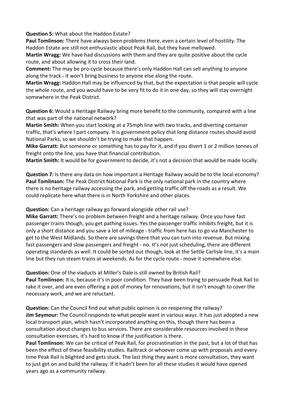**Question 5:** What about the Haddon Estate?

**Paul Tomlinson:** There have always been problems there, even a certain level of hostility. The Haddon Estate are still not enthusiastic about Peak Rail, but they have mellowed.

**Martin Wragg:** We have had discussions with them and they are quite positive about the cycle route, and about allowing it to cross their land.

**Comment:** The may be pro‐cycle because there's only Haddon Hall can sell anything to anyone along the track ‐ it won't bring business to anyone else along the route.

**Martin Wragg:** Haddon Hall may be influenced by that, but the expectation is that people will cycle the whole route, and you would have to be very fit to do it in one day, so they will stay overnight somewhere in the Peak District.

**Question 6:** Would a Heritage Railway bring more benefit to the community, compared with a line that was part of the national network?

**Martin Smith:** When you start looking at a 75mph line with two tracks, and diverting container traffic, that's where I part company. It is government policy that long distance routes should avoid National Parks, so we shouldn't be trying to make that happen.

**Mike Garratt:** But someone or something has to pay for it, and if you divert 1 or 2 million tonnes of freight onto the line, you have that financial contribution.

**Martin Smith:** It would be for government to decide, it's not a decision that would be made locally.

**Question 7:** Is there any data on how important a Heritage Railway would be to the local economy? **Paul Tomlinson:** The Peak District National Park is the only national park in the country where there is no heritage railway accessing the park, and getting traffic off the roads as a result. We could replicate here what there is in North Yorkshire and other places.

**Question:** Can a heritage railway go forward alongside other rail use?

**Mike Garratt:** There's no problem between freight and a heritage railway. Once you have fast passenger trains though, you get pathing issues. Yes the passenger traffic inhibits freight, but it is only a short distance and you save a lot of mileage ‐ traffic from here has to go via Manchester to get to the West Midlands. So there are savings there that you can turn into revenue. But mixing fast passengers and slow passengers and freight - no. It's not just scheduling, there are different operating standards as well. It could be sorted out though, look at the Settle Carlisle line, it's a main line but they run steam trains at weekends. As for the cycle route ‐ move it somewhere else.

**Question:** One of the viaducts at Miller's Dale is still owned by British Rail? **Paul Tomlinson:** It is, because it's in poor condition. They have been trying to persuade Peak Rail to take it over, and are even offering a pot of money for renovations, but it isn't enough to cover the necessary work, and we are reluctant.

**Question:** Can the Council find out what public opinion is on reopening the railway? **Jim Seymour:** The Council responds to what people want in various ways. It has just adopted a new local transport plan, which hasn't incorporated anything on this, though there has been a consultation about changes to bus services. There are considerable resources involved in these consultation exercises, it's hard to know if the justification is there.

**Paul Tomlinson:** We can be critical of Peak Rail, for procrastination in the past, but a lot of that has been the effect of these feasibility studies. Railtrack or whoever come up with proposals and every time Peak Rail is blighted and gets stuck. The last thing they want is more consultation, they want to just get on and build the railway. If it hadn't been for all these studies it would have opened years ago as a community railway.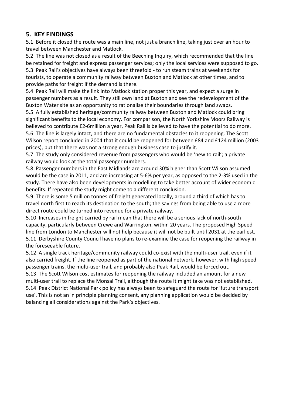# **5. KEY FINDINGS**

5.1 Before it closed the route was a main line, not just a branch line, taking just over an hour to travel between Manchester and Matlock.

5.2 The line was not closed as a result of the Beeching Inquiry, which recommended that the line be retained for freight and express passenger services; only the local services were supposed to go. 5.3 Peak Rail's objectives have always been threefold ‐ to run steam trains at weekends for tourists, to operate a community railway between Buxton and Matlock at other times, and to provide paths for freight if the demand is there.

5.4 Peak Rail will make the link into Matlock station proper this year, and expect a surge in passenger numbers as a result. They still own land at Buxton and see the redevelopment of the Buxton Water site as an opportunity to rationalise their boundaries through land swaps.

5.5 A fully established heritage/community railway between Buxton and Matlock could bring significant benefits to the local economy. For comparison, the North Yorkshire Moors Railway is believed to contribute £2-6million a year, Peak Rail is believed to have the potential to do more. 5.6 The line is largely intact, and there are no fundamental obstacles to it reopening. The Scott Wilson report concluded in 2004 that it could be reopened for between £84 and £124 million (2003 prices), but that there was not a strong enough business case to justify it.

5.7 The study only considered revenue from passengers who would be 'new to rail'; a private railway would look at the total passenger numbers.

5.8 Passenger numbers in the East Midlands are around 30% higher than Scott Wilson assumed would be the case in 2011, and are increasing at 5‐6% per year, as opposed to the 2‐3% used in the study. There have also been developments in modelling to take better account of wider economic benefits. If repeated the study might come to a different conclusion.

5.9 There is some 5 million tonnes of freight generated locally, around a third of which has to travel north first to reach its destination to the south; the savings from being able to use a more direct route could be turned into revenue for a private railway.

5.10 Increases in freight carried by rail mean that there will be a serious lack of north‐south capacity, particularly between Crewe and Warrington, within 20 years. The proposed High Speed line from London to Manchester will not help because it will not be built until 2031 at the earliest. 5.11 Derbyshire County Council have no plans to re-examine the case for reopening the railway in the foreseeable future.

5.12 A single track heritage/community railway could co-exist with the multi-user trail, even if it also carried freight. If the line reopened as part of the national network, however, with high speed passenger trains, the multi‐user trail, and probably also Peak Rail, would be forced out.

5.13 The Scott Wilson cost estimates for reopening the railway included an amount for a new multi-user trail to replace the Monsal Trail, although the route it might take was not established. 5.14 Peak District National Park policy has always been to safeguard the route for 'future transport use'. This is not an in principle planning consent, any planning application would be decided by balancing all considerations against the Park's objectives.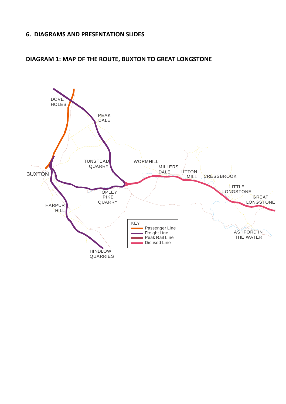# **6. DIAGRAMS AND PRESENTATION SLIDES**



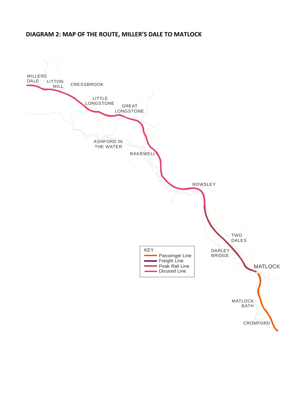# **DIAGRAM 2: MAP OF THE ROUTE, MILLER'S DALE TO MATLOCK**

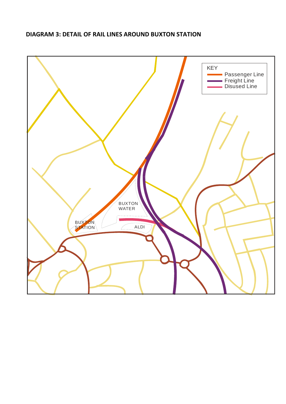# **DIAGRAM 3: DETAIL OF RAIL LINES AROUND BUXTON STATION**

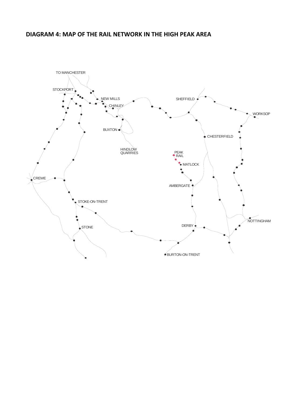### **DIAGRAM 4: MAP OF THE RAIL NETWORK IN THE HIGH PEAK AREA**

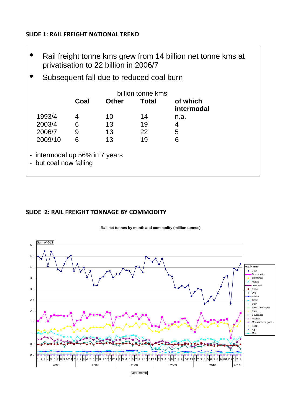# **SLIDE 1: RAIL FREIGHT NATIONAL TREND**

- Rail freight tonne kms grew from 14 billion net tonne kms at privatisation to 22 billion in 2006/7
- Subsequent fall due to reduced coal burn

|                                                          | billion tonne kms |              |       |                        |
|----------------------------------------------------------|-------------------|--------------|-------|------------------------|
|                                                          | Coal              | <b>Other</b> | Total | of which<br>intermodal |
| 1993/4                                                   | 4                 | 10           | 14    | n.a.                   |
| 2003/4                                                   | 6                 | 13           | 19    | 4                      |
| 2006/7                                                   | 9                 | 13           | 22    | 5                      |
| 2009/10                                                  | 6                 | 13           | 19    | 6                      |
| - intermodal up 56% in 7 years<br>- but coal now falling |                   |              |       |                        |

# **SLIDE 2: RAIL FREIGHT TONNAGE BY COMMODITY**

**Rail net tonnes by month and commodity (million tonnes).** 

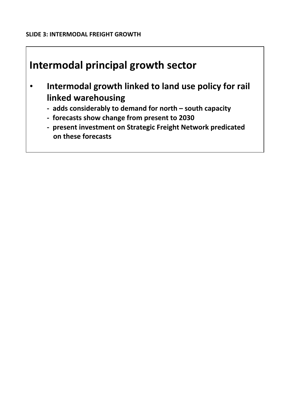# **Intermodal principal growth sector**

- **Intermodal growth linked to land use policy for rail linked warehousing** 
	- **‐ adds considerably to demand for north – south capacity**
	- **‐ forecasts show change from present to 2030**
	- **‐ present investment on Strategic Freight Network predicated on these forecasts**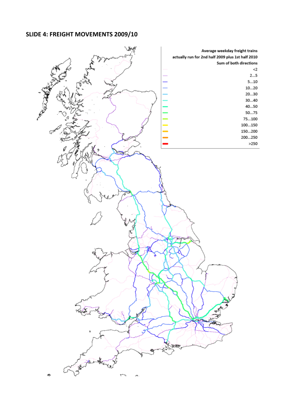# **SLIDE 4: FREIGHT MOVEMENTS 2009/10**

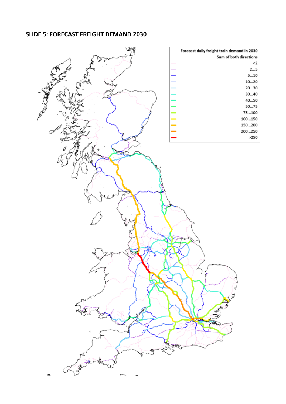# **SLIDE 5: FORECAST FREIGHT DEMAND 2030**

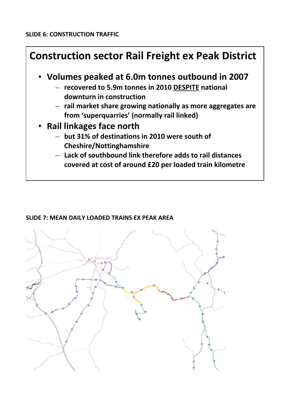

# **SLIDE 7: MEAN DAILY LOADED TRAINS EX PEAK AREA**

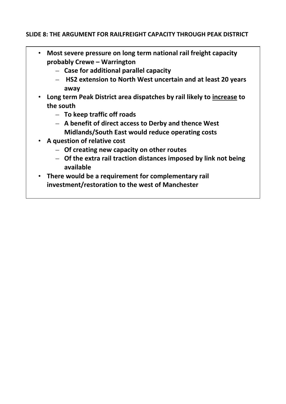# **SLIDE 8: THE ARGUMENT FOR RAILFREIGHT CAPACITY THROUGH PEAK DISTRICT**

- **Most severe pressure on long term national rail freight capacity probably Crewe – Warrington**
	- **Case for additional parallel capacity**
	- **HS2 extension to North West uncertain and at least 20 years away**
- **Long term Peak District area dispatches by rail likely to increase to the south**
	- **To keep traffic off roads**
	- **A benefit of direct access to Derby and thence West Midlands/South East would reduce operating costs**
- **A question of relative cost**
	- **Of creating new capacity on other routes**
	- **Of the extra rail traction distances imposed by link not being available**
- **There would be a requirement for complementary rail investment/restoration to the west of Manchester**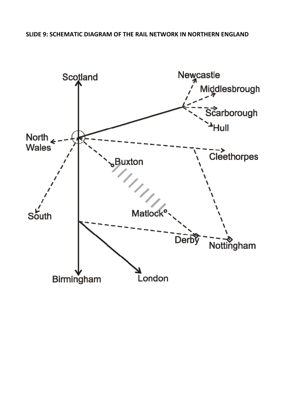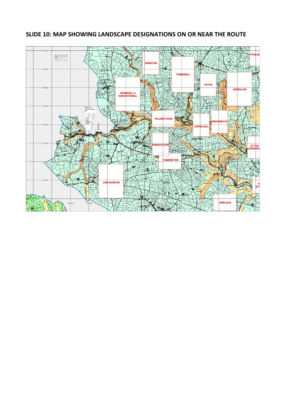

# **SLIDE 10: MAP SHOWING LANDSCAPE DESIGNATIONS ON OR NEAR THE ROUTE**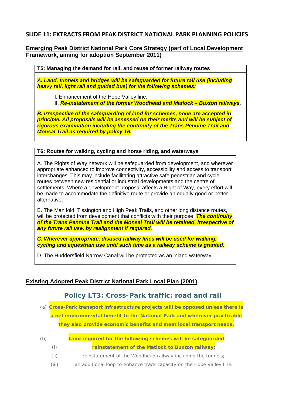#### **SLIDE 11: EXTRACTS FROM PEAK DISTRICT NATIONAL PARK PLANNING POLICIES**

#### **Emerging Peak District National Park Core Strategy (part of Local Development Framework, aiming for adoption September 2011)**

**T5: Managing the demand for rail, and reuse of former railway routes** 

*A. Land, tunnels and bridges will be safeguarded for future rail use (including heavy rail, light rail and guided bus) for the following schemes:* 

I. Enhancement of the Hope Valley line;

II. *Re-instatement of the former Woodhead and Matlock – Buxton railways*.

*B. Irrespective of the safeguarding of land for schemes, none are accepted in principle. All proposals will be assessed on their merits and will be subject of rigorous examination including the continuity of the Trans Pennine Trail and Monsal Trail as required by policy T6.* 

#### **T6: Routes for walking, cycling and horse riding, and waterways**

A. The Rights of Way network will be safeguarded from development, and wherever appropriate enhanced to improve connectivity, accessibility and access to transport interchanges. This may include facilitating attractive safe pedestrian and cycle routes between new residential or industrial developments and the centre of settlements. Where a development proposal affects a Right of Way, every effort will be made to accommodate the definitive route or provide an equally good or better alternative.

B. The Manifold, Tissington and High Peak Trails, and other long distance routes, will be protected from development that conflicts with their purpose. *The continuity of the Trans Pennine Trail and the Monsal Trail will be retained, irrespective of any future rail use, by realignment if required.* 

*C. Wherever appropriate, disused railway lines will be used for walking, cycling and equestrian use until such time as a railway scheme is granted.* 

D. The Huddersfield Narrow Canal will be protected as an inland waterway.

#### **Existing Adopted Peak District National Park Local Plan (2001)**

#### **Policy LT3: Cross-Park traffic: road and rail**

(a) *Cross-Park transport infrastructure projects will be opposed unless there is a net environmental benefit to the National Park and wherever practicable they also provide economic benefits and meet local transport needs.* 

- (b) *Land required for the following schemes will be safeguarded*  (i) *reinstatement of the Matlock to Buxton railway;* 
	- (ii) reinstatement of the Woodhead railway including the tunnels;
	- (iii) an additional loop to enhance track capacity on the Hope Valley line.